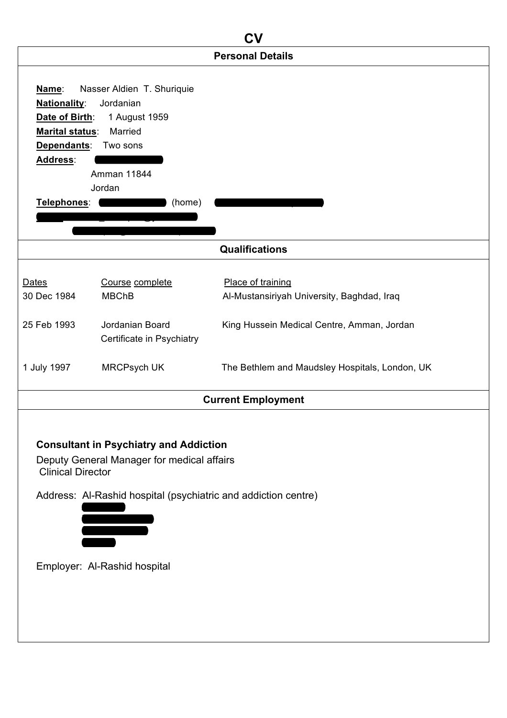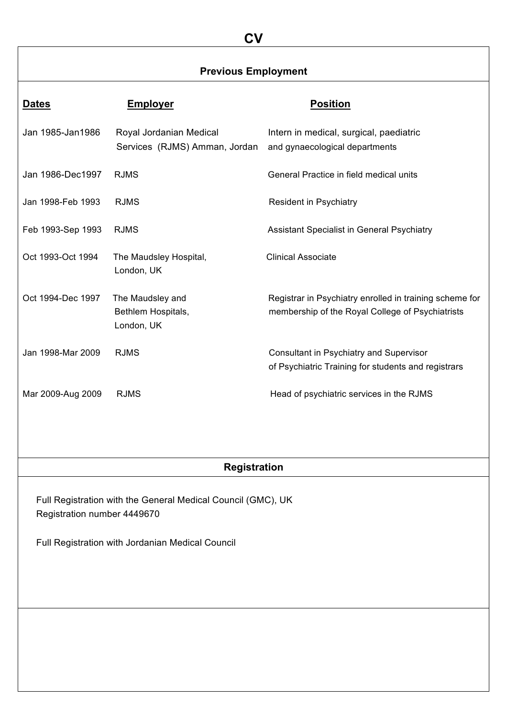# **CV**

## **Previous Employment**

| Dates             | <b>Employer</b>                                          | <b>Position</b>                                                                                             |
|-------------------|----------------------------------------------------------|-------------------------------------------------------------------------------------------------------------|
| Jan 1985-Jan1986  | Royal Jordanian Medical<br>Services (RJMS) Amman, Jordan | Intern in medical, surgical, paediatric<br>and gynaecological departments                                   |
| Jan 1986-Dec1997  | <b>RJMS</b>                                              | General Practice in field medical units                                                                     |
| Jan 1998-Feb 1993 | <b>RJMS</b>                                              | <b>Resident in Psychiatry</b>                                                                               |
| Feb 1993-Sep 1993 | <b>RJMS</b>                                              | Assistant Specialist in General Psychiatry                                                                  |
| Oct 1993-Oct 1994 | The Maudsley Hospital,<br>London, UK                     | <b>Clinical Associate</b>                                                                                   |
| Oct 1994-Dec 1997 | The Maudsley and<br>Bethlem Hospitals,<br>London, UK     | Registrar in Psychiatry enrolled in training scheme for<br>membership of the Royal College of Psychiatrists |
| Jan 1998-Mar 2009 | <b>RJMS</b>                                              | Consultant in Psychiatry and Supervisor<br>of Psychiatric Training for students and registrars              |
| Mar 2009-Aug 2009 | <b>RJMS</b>                                              | Head of psychiatric services in the RJMS                                                                    |

## **Registration**

Full Registration with the General Medical Council (GMC), UK Registration number 4449670

Full Registration with Jordanian Medical Council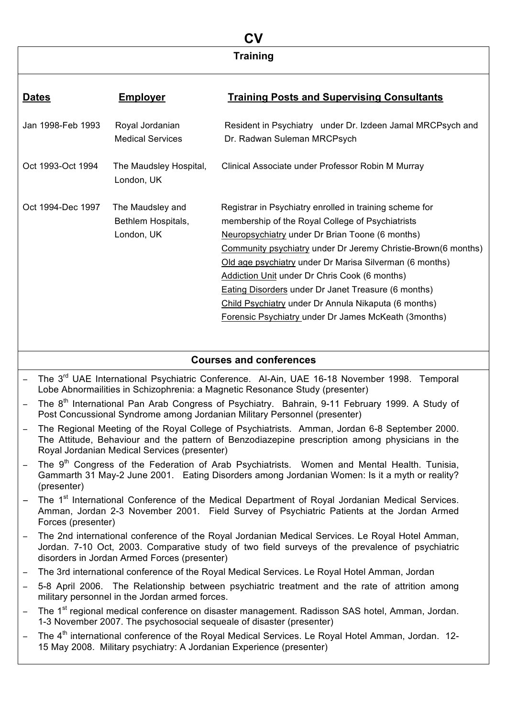## **CV Training**

| <b>Dates</b>      | <u>Employer</u>                                      | <b>Training Posts and Supervising Consultants</b>                                                                                                                                                                                                                                                                                                                                                                                                                                                                         |
|-------------------|------------------------------------------------------|---------------------------------------------------------------------------------------------------------------------------------------------------------------------------------------------------------------------------------------------------------------------------------------------------------------------------------------------------------------------------------------------------------------------------------------------------------------------------------------------------------------------------|
| Jan 1998-Feb 1993 | Royal Jordanian<br><b>Medical Services</b>           | Resident in Psychiatry under Dr. Izdeen Jamal MRCPsych and<br>Dr. Radwan Suleman MRCPsych                                                                                                                                                                                                                                                                                                                                                                                                                                 |
| Oct 1993-Oct 1994 | The Maudsley Hospital,<br>London, UK                 | Clinical Associate under Professor Robin M Murray                                                                                                                                                                                                                                                                                                                                                                                                                                                                         |
| Oct 1994-Dec 1997 | The Maudsley and<br>Bethlem Hospitals,<br>London, UK | Registrar in Psychiatry enrolled in training scheme for<br>membership of the Royal College of Psychiatrists<br><b>Neuropsychiatry under Dr Brian Toone (6 months)</b><br>Community psychiatry under Dr Jeremy Christie-Brown(6 months)<br>Old age psychiatry under Dr Marisa Silverman (6 months)<br>Addiction Unit under Dr Chris Cook (6 months)<br>Eating Disorders under Dr Janet Treasure (6 months)<br>Child Psychiatry under Dr Annula Nikaputa (6 months)<br>Forensic Psychiatry under Dr James McKeath (3months) |

## **Courses and conferences**

- The 3<sup>rd</sup> UAE International Psychiatric Conference. Al-Ain, UAE 16-18 November 1998. Temporal Lobe Abnormailities in Schizophrenia: a Magnetic Resonance Study (presenter)
- The 8<sup>th</sup> International Pan Arab Congress of Psychiatry. Bahrain, 9-11 February 1999. A Study of Post Concussional Syndrome among Jordanian Military Personnel (presenter)
- ! The Regional Meeting of the Royal College of Psychiatrists. Amman, Jordan 6-8 September 2000. The Attitude, Behaviour and the pattern of Benzodiazepine prescription among physicians in the Royal Jordanian Medical Services (presenter)
- The 9<sup>th</sup> Congress of the Federation of Arab Psychiatrists. Women and Mental Health. Tunisia, Gammarth 31 May-2 June 2001. Eating Disorders among Jordanian Women: Is it a myth or reality? (presenter)
- The 1<sup>st</sup> International Conference of the Medical Department of Royal Jordanian Medical Services. Amman, Jordan 2-3 November 2001. Field Survey of Psychiatric Patients at the Jordan Armed Forces (presenter)
- ! The 2nd international conference of the Royal Jordanian Medical Services. Le Royal Hotel Amman, Jordan. 7-10 Oct, 2003. Comparative study of two field surveys of the prevalence of psychiatric disorders in Jordan Armed Forces (presenter)
- ! The 3rd international conference of the Royal Medical Services. Le Royal Hotel Amman, Jordan
- ! 5-8 April 2006. The Relationship between psychiatric treatment and the rate of attrition among military personnel in the Jordan armed forces.
- The 1<sup>st</sup> regional medical conference on disaster management. Radisson SAS hotel, Amman, Jordan. 1-3 November 2007. The psychosocial sequeale of disaster (presenter)
- $-$  The 4<sup>th</sup> international conference of the Royal Medical Services. Le Royal Hotel Amman, Jordan. 12-15 May 2008. Military psychiatry: A Jordanian Experience (presenter)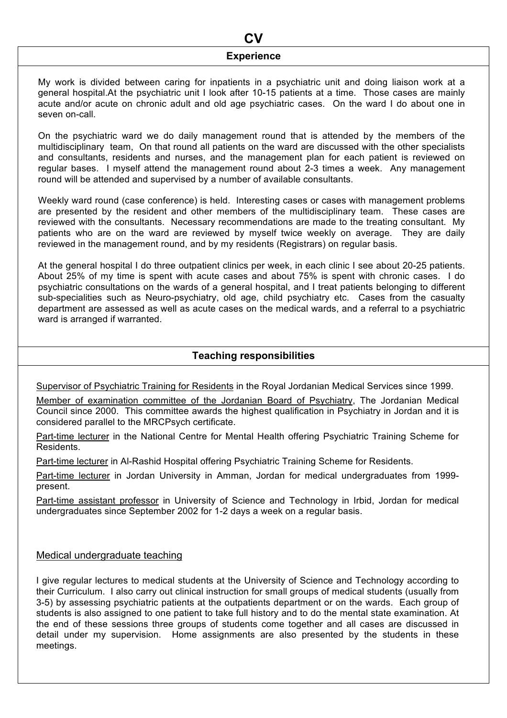## **CV Experience**

My work is divided between caring for inpatients in a psychiatric unit and doing liaison work at a general hospital.At the psychiatric unit I look after 10-15 patients at a time. Those cases are mainly acute and/or acute on chronic adult and old age psychiatric cases. On the ward I do about one in seven on-call.

On the psychiatric ward we do daily management round that is attended by the members of the multidisciplinary team, On that round all patients on the ward are discussed with the other specialists and consultants, residents and nurses, and the management plan for each patient is reviewed on regular bases. I myself attend the management round about 2-3 times a week. Any management round will be attended and supervised by a number of available consultants.

Weekly ward round (case conference) is held. Interesting cases or cases with management problems are presented by the resident and other members of the multidisciplinary team. These cases are reviewed with the consultants. Necessary recommendations are made to the treating consultant. My patients who are on the ward are reviewed by myself twice weekly on average. They are daily reviewed in the management round, and by my residents (Registrars) on regular basis.

At the general hospital I do three outpatient clinics per week, in each clinic I see about 20-25 patients. About 25% of my time is spent with acute cases and about 75% is spent with chronic cases. I do psychiatric consultations on the wards of a general hospital, and I treat patients belonging to different sub-specialities such as Neuro-psychiatry, old age, child psychiatry etc. Cases from the casualty department are assessed as well as acute cases on the medical wards, and a referral to a psychiatric ward is arranged if warranted.

### **Teaching responsibilities**

Supervisor of Psychiatric Training for Residents in the Royal Jordanian Medical Services since 1999.

Member of examination committee of the Jordanian Board of Psychiatry, The Jordanian Medical Council since 2000. This committee awards the highest qualification in Psychiatry in Jordan and it is considered parallel to the MRCPsych certificate.

Part-time lecturer in the National Centre for Mental Health offering Psychiatric Training Scheme for Residents.

Part-time lecturer in Al-Rashid Hospital offering Psychiatric Training Scheme for Residents.

Part-time lecturer in Jordan University in Amman, Jordan for medical undergraduates from 1999 present.

Part-time assistant professor in University of Science and Technology in Irbid, Jordan for medical undergraduates since September 2002 for 1-2 days a week on a regular basis.

#### Medical undergraduate teaching

I give regular lectures to medical students at the University of Science and Technology according to their Curriculum. I also carry out clinical instruction for small groups of medical students (usually from 3-5) by assessing psychiatric patients at the outpatients department or on the wards. Each group of students is also assigned to one patient to take full history and to do the mental state examination. At the end of these sessions three groups of students come together and all cases are discussed in detail under my supervision. Home assignments are also presented by the students in these meetings.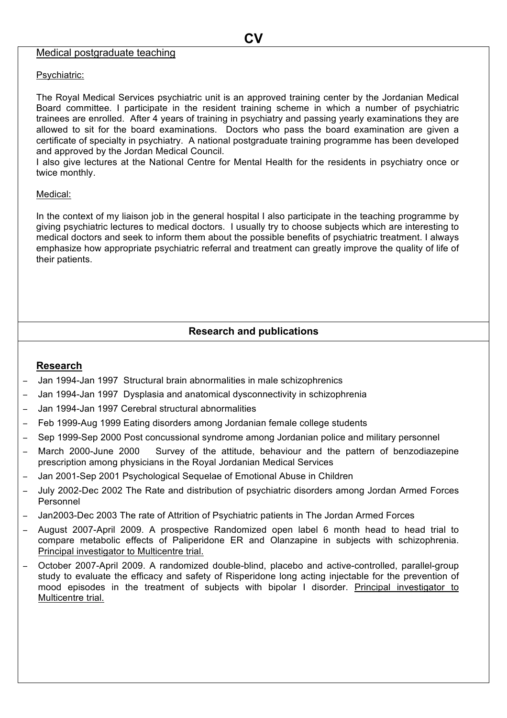#### Medical postgraduate teaching

#### Psychiatric:

The Royal Medical Services psychiatric unit is an approved training center by the Jordanian Medical Board committee. I participate in the resident training scheme in which a number of psychiatric trainees are enrolled. After 4 years of training in psychiatry and passing yearly examinations they are allowed to sit for the board examinations. Doctors who pass the board examination are given a certificate of specialty in psychiatry. A national postgraduate training programme has been developed and approved by the Jordan Medical Council.

I also give lectures at the National Centre for Mental Health for the residents in psychiatry once or twice monthly.

#### Medical:

In the context of my liaison job in the general hospital I also participate in the teaching programme by giving psychiatric lectures to medical doctors. I usually try to choose subjects which are interesting to medical doctors and seek to inform them about the possible benefits of psychiatric treatment. I always emphasize how appropriate psychiatric referral and treatment can greatly improve the quality of life of their patients.

### **Research and publications**

#### **Research**

- ! Jan 1994-Jan 1997 Structural brain abnormalities in male schizophrenics
- ! Jan 1994-Jan 1997 Dysplasia and anatomical dysconnectivity in schizophrenia
- ! Jan 1994-Jan 1997 Cerebral structural abnormalities
- ! Feb 1999-Aug 1999 Eating disorders among Jordanian female college students
- ! Sep 1999-Sep 2000 Post concussional syndrome among Jordanian police and military personnel
- March 2000-June 2000 Survey of the attitude, behaviour and the pattern of benzodiazepine prescription among physicians in the Royal Jordanian Medical Services
- ! Jan 2001-Sep 2001 Psychological Sequelae of Emotional Abuse in Children
- ! July 2002-Dec 2002 The Rate and distribution of psychiatric disorders among Jordan Armed Forces Personnel
- ! Jan2003-Dec 2003 The rate of Attrition of Psychiatric patients in The Jordan Armed Forces
- ! August 2007-April 2009. A prospective Randomized open label 6 month head to head trial to compare metabolic effects of Paliperidone ER and Olanzapine in subjects with schizophrenia. Principal investigator to Multicentre trial.
- October 2007-April 2009. A randomized double-blind, placebo and active-controlled, parallel-group study to evaluate the efficacy and safety of Risperidone long acting injectable for the prevention of mood episodes in the treatment of subjects with bipolar I disorder. Principal investigator to Multicentre trial.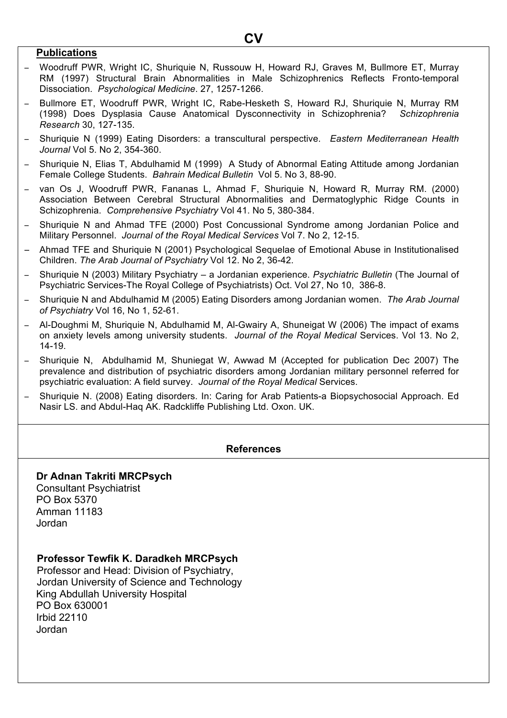### **Publications**

- ! Woodruff PWR, Wright IC, Shuriquie N, Russouw H, Howard RJ, Graves M, Bullmore ET, Murray RM (1997) Structural Brain Abnormalities in Male Schizophrenics Reflects Fronto-temporal Dissociation. *Psychological Medicine*. 27, 1257-1266.
- Bullmore ET, Woodruff PWR, Wright IC, Rabe-Hesketh S, Howard RJ, Shuriquie N, Murray RM (1998) Does Dysplasia Cause Anatomical Dysconnectivity in Schizophrenia? *Schizophrenia Research* 30, 127-135.
- ! Shuriquie N (1999) Eating Disorders: a transcultural perspective. *Eastern Mediterranean Health Journal* Vol 5. No 2, 354-360.
- Shuriquie N, Elias T, Abdulhamid M (1999) A Study of Abnormal Eating Attitude among Jordanian Female College Students. *Bahrain Medical Bulletin* Vol 5. No 3, 88-90.
- ! van Os J, Woodruff PWR, Fananas L, Ahmad F, Shuriquie N, Howard R, Murray RM. (2000) Association Between Cerebral Structural Abnormalities and Dermatoglyphic Ridge Counts in Schizophrenia. *Comprehensive Psychiatry* Vol 41. No 5, 380-384.
- Shuriquie N and Ahmad TFE (2000) Post Concussional Syndrome among Jordanian Police and Military Personnel. *Journal of the Royal Medical Services* Vol 7. No 2, 12-15.
- ! Ahmad TFE and Shuriquie N (2001) Psychological Sequelae of Emotional Abuse in Institutionalised Children. *The Arab Journal of Psychiatry* Vol 12. No 2, 36-42.
- ! Shuriquie N (2003) Military Psychiatry a Jordanian experience. *Psychiatric Bulletin* (The Journal of Psychiatric Services-The Royal College of Psychiatrists) Oct. Vol 27, No 10, 386-8.
- ! Shuriquie N and Abdulhamid M (2005) Eating Disorders among Jordanian women. *The Arab Journal of Psychiatry* Vol 16, No 1, 52-61.
- ! Al-Doughmi M, Shuriquie N, Abdulhamid M, Al-Gwairy A, Shuneigat W (2006) The impact of exams on anxiety levels among university students. *Journal of the Royal Medical* Services. Vol 13. No 2, 14-19.
- Shuriquie N, Abdulhamid M, Shuniegat W, Awwad M (Accepted for publication Dec 2007) The prevalence and distribution of psychiatric disorders among Jordanian military personnel referred for psychiatric evaluation: A field survey. *Journal of the Royal Medical* Services.
- Shuriquie N. (2008) Eating disorders. In: Caring for Arab Patients-a Biopsychosocial Approach. Ed Nasir LS. and Abdul-Haq AK. Radckliffe Publishing Ltd. Oxon. UK.

### **References**

#### **Dr Adnan Takriti MRCPsych**

Consultant Psychiatrist PO Box 5370 Amman 11183 Jordan

#### **Professor Tewfik K. Daradkeh MRCPsych**

 Professor and Head: Division of Psychiatry, Jordan University of Science and Technology King Abdullah University Hospital PO Box 630001 Irbid 22110 Jordan